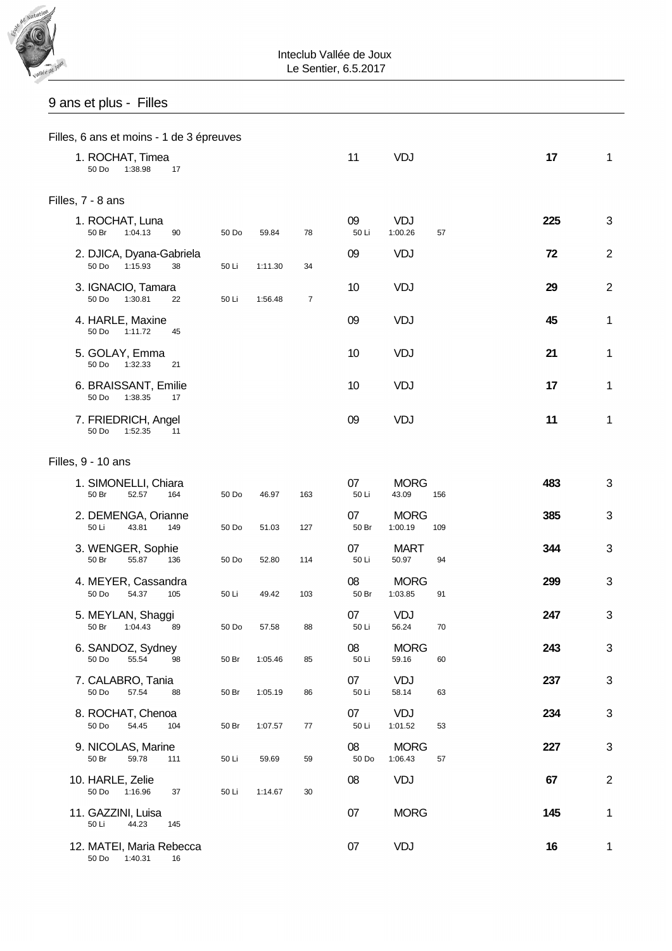

### Inteclub Vallée de Joux Le Sentier, 6.5.2017

# 9 ans et plus - Filles

|                   | Filles, 6 ans et moins - 1 de 3 épreuves     |     |       |         |     |             |                        |     |  |     |                |  |
|-------------------|----------------------------------------------|-----|-------|---------|-----|-------------|------------------------|-----|--|-----|----------------|--|
|                   | 1. ROCHAT, Timea<br>1:38.98<br>50 Do         | 17  |       |         |     | 11          | VDJ                    |     |  | 17  | 1              |  |
| Filles, 7 - 8 ans |                                              |     |       |         |     |             |                        |     |  |     |                |  |
|                   | 1. ROCHAT, Luna<br>50 Br<br>1:04.13          | 90  | 50 Do | 59.84   | 78  | 09<br>50 Li | <b>VDJ</b><br>1:00.26  | 57  |  | 225 | 3              |  |
|                   | 2. DJICA, Dyana-Gabriela<br>50 Do<br>1:15.93 | 38  | 50 Li | 1:11.30 | 34  | 09          | VDJ                    |     |  | 72  | $\overline{2}$ |  |
|                   | 3. IGNACIO, Tamara<br>50 Do<br>1:30.81       | 22  | 50 Li | 1:56.48 | 7   | 10          | <b>VDJ</b>             |     |  | 29  | $\overline{2}$ |  |
|                   | 4. HARLE, Maxine<br>50 Do<br>1:11.72         | 45  |       |         |     | 09          | VDJ                    |     |  | 45  | 1              |  |
|                   | 5. GOLAY, Emma<br>50 Do<br>1:32.33           | 21  |       |         |     | 10          | <b>VDJ</b>             |     |  | 21  | 1              |  |
|                   | 6. BRAISSANT, Emilie<br>50 Do<br>1:38.35     | 17  |       |         |     | 10          | VDJ                    |     |  | 17  | 1              |  |
|                   | 7. FRIEDRICH, Angel<br>50 Do<br>1:52.35      | 11  |       |         |     | 09          | VDJ                    |     |  | 11  | 1              |  |
|                   | Filles, 9 - 10 ans                           |     |       |         |     |             |                        |     |  |     |                |  |
|                   | 1. SIMONELLI, Chiara<br>52.57<br>50 Br       | 164 | 50 Do | 46.97   | 163 | 07<br>50 Li | <b>MORG</b><br>43.09   | 156 |  | 483 | 3              |  |
|                   | 2. DEMENGA, Orianne<br>50 Li<br>43.81        | 149 | 50 Do | 51.03   | 127 | 07<br>50 Br | <b>MORG</b><br>1:00.19 | 109 |  | 385 | 3              |  |
|                   | 3. WENGER, Sophie<br>50 Br<br>55.87          | 136 | 50 Do | 52.80   | 114 | 07<br>50 Li | <b>MART</b><br>50.97   | 94  |  | 344 | 3              |  |
|                   | 4. MEYER, Cassandra<br>50 Do<br>54.37        | 105 | 50 Li | 49.42   | 103 | 08<br>50 Br | <b>MORG</b><br>1:03.85 | 91  |  | 299 | 3              |  |
|                   | 5. MEYLAN, Shaggi<br>50 Br<br>1:04.43        | 89  | 50 Do | 57.58   | 88  | 07<br>50 Li | <b>VDJ</b><br>56.24    | 70  |  | 247 | 3              |  |
|                   | 6. SANDOZ, Sydney<br>55.54<br>50 Do          | 98  | 50 Br | 1:05.46 | 85  | 08<br>50 Li | <b>MORG</b><br>59.16   | 60  |  | 243 | 3              |  |
|                   | 7. CALABRO, Tania<br>50 Do<br>57.54          | 88  | 50 Br | 1:05.19 | 86  | 07<br>50 Li | <b>VDJ</b><br>58.14    | 63  |  | 237 | 3              |  |
|                   | 8. ROCHAT, Chenoa<br>50 Do<br>54.45          | 104 | 50 Br | 1:07.57 | 77  | 07<br>50 Li | <b>VDJ</b><br>1:01.52  | 53  |  | 234 | 3              |  |
|                   | 9. NICOLAS, Marine<br>50 Br<br>59.78         | 111 | 50 Li | 59.69   | 59  | 08<br>50 Do | <b>MORG</b><br>1:06.43 | 57  |  | 227 | $\sqrt{3}$     |  |
|                   | 10. HARLE, Zelie<br>50 Do<br>1:16.96         | 37  | 50 Li | 1:14.67 | 30  | 08          | VDJ                    |     |  | 67  | $\overline{2}$ |  |
|                   | 11. GAZZINI, Luisa<br>50 Li<br>44.23         | 145 |       |         |     | 07          | <b>MORG</b>            |     |  | 145 | 1              |  |
|                   | 12. MATEI, Maria Rebecca<br>50 Do 1:40.31    | 16  |       |         |     | 07          | VDJ                    |     |  | 16  | 1              |  |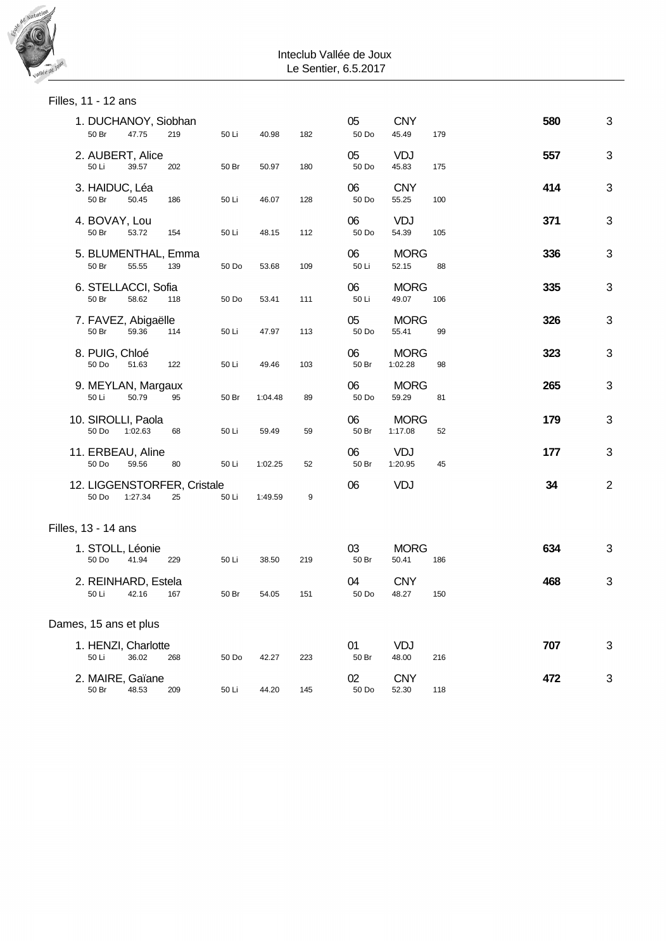

### Inteclub Vallée de Joux Le Sentier, 6.5.2017

| Filles, 11 - 12 ans           |         |                                   |       |         |     |             |                        |     |     |             |
|-------------------------------|---------|-----------------------------------|-------|---------|-----|-------------|------------------------|-----|-----|-------------|
| 1. DUCHANOY, Siobhan<br>50 Br | 47.75   | 219                               | 50 Li | 40.98   | 182 | 05<br>50 Do | <b>CNY</b><br>45.49    | 179 | 580 | 3           |
| 2. AUBERT, Alice<br>50 Li     | 39.57   | 202                               | 50 Br | 50.97   | 180 | 05<br>50 Do | <b>VDJ</b><br>45.83    | 175 | 557 | 3           |
| 3. HAIDUC, Léa<br>50 Br       | 50.45   | 186                               | 50 Li | 46.07   | 128 | 06<br>50 Do | <b>CNY</b><br>55.25    | 100 | 414 | 3           |
| 4. BOVAY, Lou<br>50 Br        | 53.72   | 154                               | 50 Li | 48.15   | 112 | 06<br>50 Do | <b>VDJ</b><br>54.39    | 105 | 371 | 3           |
| 5. BLUMENTHAL, Emma<br>50 Br  | 55.55   | 139                               | 50 Do | 53.68   | 109 | 06<br>50 Li | <b>MORG</b><br>52.15   | 88  | 336 | 3           |
| 6. STELLACCI, Sofia<br>50 Br  | 58.62   | 118                               | 50 Do | 53.41   | 111 | 06<br>50 Li | <b>MORG</b><br>49.07   | 106 | 335 | 3           |
| 7. FAVEZ, Abigaëlle<br>50 Br  | 59.36   | 114                               | 50 Li | 47.97   | 113 | 05<br>50 Do | <b>MORG</b><br>55.41   | 99  | 326 | 3           |
| 8. PUIG, Chloé<br>50 Do       | 51.63   | 122                               | 50 Li | 49.46   | 103 | 06<br>50 Br | <b>MORG</b><br>1:02.28 | 98  | 323 | 3           |
| 9. MEYLAN, Margaux<br>50 Li   | 50.79   | 95                                | 50 Br | 1:04.48 | 89  | 06<br>50 Do | <b>MORG</b><br>59.29   | 81  | 265 | 3           |
| 10. SIROLLI, Paola<br>50 Do   | 1:02.63 | 68                                | 50 Li | 59.49   | 59  | 06<br>50 Br | <b>MORG</b><br>1:17.08 | 52  | 179 | 3           |
| 11. ERBEAU, Aline<br>50 Do    | 59.56   | 80                                | 50 Li | 1:02.25 | 52  | 06<br>50 Br | <b>VDJ</b><br>1:20.95  | 45  | 177 | 3           |
| 50 Do                         | 1:27.34 | 12. LIGGENSTORFER, Cristale<br>25 | 50 Li | 1:49.59 | 9   | 06          | <b>VDJ</b>             |     | 34  | $\mathbf 2$ |
| Filles, 13 - 14 ans           |         |                                   |       |         |     |             |                        |     |     |             |
| 1. STOLL, Léonie<br>50 Do     | 41.94   | 229                               | 50 Li | 38.50   | 219 | 03<br>50 Br | <b>MORG</b><br>50.41   | 186 | 634 | 3           |
| 2. REINHARD, Estela<br>50 Li  | 42.16   | 167                               | 50 Br | 54.05   | 151 | 04<br>50 Do | <b>CNY</b><br>48.27    | 150 | 468 | 3           |
| Dames, 15 ans et plus         |         |                                   |       |         |     |             |                        |     |     |             |
| 1. HENZI, Charlotte<br>50 Li  | 36.02   | 268                               | 50 Do | 42.27   | 223 | 01<br>50 Br | VDJ<br>48.00           | 216 | 707 | 3           |
| 2. MAIRE, Gaïane<br>50 Br     | 48.53   | 209                               | 50 Li | 44.20   | 145 | 02<br>50 Do | <b>CNY</b><br>52.30    | 118 | 472 | 3           |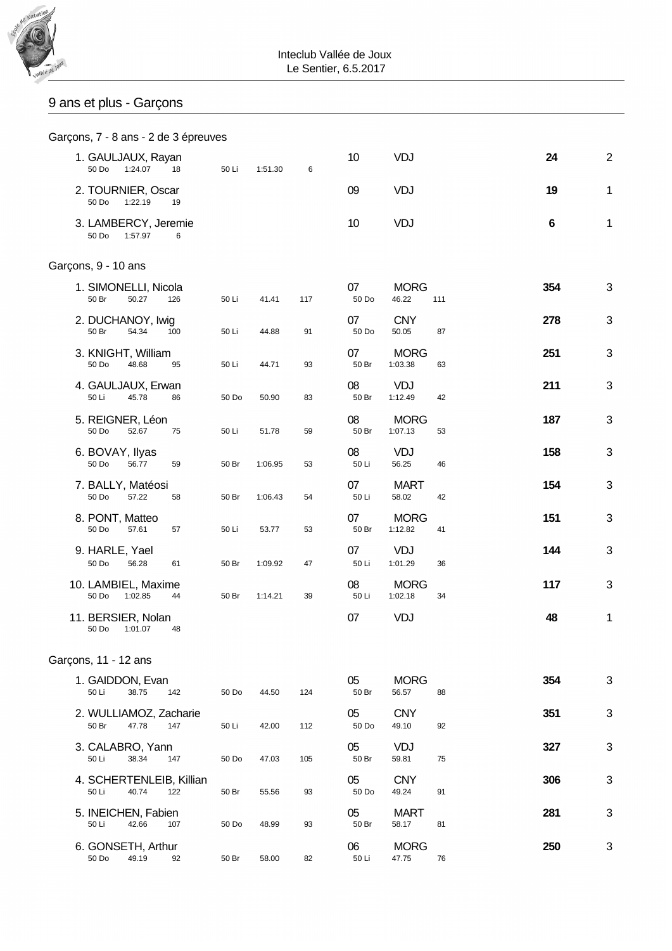

# 9 ans et plus - Garçons

|                                   |         | Garçons, 7 - 8 ans - 2 de 3 épreuves |       |         |     |             |                        |     |     |                |
|-----------------------------------|---------|--------------------------------------|-------|---------|-----|-------------|------------------------|-----|-----|----------------|
| 1. GAULJAUX, Rayan<br>50 Do       | 1:24.07 | 18                                   | 50 Li | 1:51.30 | 6   | 10          | VDJ                    |     | 24  | $\overline{2}$ |
| 2. TOURNIER, Oscar<br>50 Do       | 1:22.19 | 19                                   |       |         |     | 09          | <b>VDJ</b>             |     | 19  | $\mathbf 1$    |
| 3. LAMBERCY, Jeremie<br>50 Do     | 1:57.97 | 6                                    |       |         |     | 10          | VDJ                    |     | 6   | 1              |
| Garçons, 9 - 10 ans               |         |                                      |       |         |     |             |                        |     |     |                |
| 1. SIMONELLI, Nicola<br>50 Br     | 50.27   | 126                                  | 50 Li | 41.41   | 117 | 07<br>50 Do | <b>MORG</b><br>46.22   | 111 | 354 | 3              |
| 2. DUCHANOY, Iwig<br>50 Br        | 54.34   | 100                                  | 50 Li | 44.88   | 91  | 07<br>50 Do | <b>CNY</b><br>50.05    | 87  | 278 | 3              |
| 3. KNIGHT, William<br>50 Do       | 48.68   | 95                                   | 50 Li | 44.71   | 93  | 07<br>50 Br | <b>MORG</b><br>1:03.38 | 63  | 251 | 3              |
| 4. GAULJAUX, Erwan<br>50 Li       | 45.78   | 86                                   | 50 Do | 50.90   | 83  | 08<br>50 Br | VDJ<br>1:12.49         | 42  | 211 | 3              |
| 5. REIGNER, Léon<br>50 Do         | 52.67   | 75                                   | 50 Li | 51.78   | 59  | 08<br>50 Br | <b>MORG</b><br>1:07.13 | 53  | 187 | 3              |
| 6. BOVAY, Ilyas<br>50 Do          | 56.77   | 59                                   | 50 Br | 1:06.95 | 53  | 08<br>50 Li | <b>VDJ</b><br>56.25    | 46  | 158 | 3              |
| 7. BALLY, Matéosi<br>50 Do        | 57.22   | 58                                   | 50 Br | 1:06.43 | 54  | 07<br>50 Li | <b>MART</b><br>58.02   | 42  | 154 | 3              |
| 8. PONT, Matteo<br>50 Do          | 57.61   | 57                                   | 50 Li | 53.77   | 53  | 07<br>50 Br | <b>MORG</b><br>1:12.82 | 41  | 151 | 3              |
| 9. HARLE, Yael<br>50 Do           | 56.28   | 61                                   | 50 Br | 1:09.92 | 47  | 07<br>50 Li | VDJ<br>1:01.29         | 36  | 144 | 3              |
| 10. LAMBIEL, Maxime<br>50 Do      | 1:02.85 | 44                                   | 50 Br | 1:14.21 | 39  | 08<br>50 Li | <b>MORG</b><br>1:02.18 | 34  | 117 | 3              |
| 11. BERSIER, Nolan<br>50 Do       | 1:01.07 | 48                                   |       |         |     | 07          | VDJ                    |     | 48  | 1              |
| Garçons, 11 - 12 ans              |         |                                      |       |         |     |             |                        |     |     |                |
| 1. GAIDDON, Evan<br>50 Li         | 38.75   | 142                                  | 50 Do | 44.50   | 124 | 05<br>50 Br | <b>MORG</b><br>56.57   | 88  | 354 | 3              |
| 2. WULLIAMOZ, Zacharie<br>50 Br   | 47.78   | 147                                  | 50 Li | 42.00   | 112 | 05<br>50 Do | <b>CNY</b><br>49.10    | 92  | 351 | 3              |
| 3. CALABRO, Yann<br>50 Li         | 38.34   | 147                                  | 50 Do | 47.03   | 105 | 05<br>50 Br | <b>VDJ</b><br>59.81    | 75  | 327 | 3              |
| 4. SCHERTENLEIB, Killian<br>50 Li | 40.74   | 122                                  | 50 Br | 55.56   | 93  | 05<br>50 Do | <b>CNY</b><br>49.24    | 91  | 306 | 3              |
| 5. INEICHEN, Fabien<br>50 Li      | 42.66   | 107                                  | 50 Do | 48.99   | 93  | 05<br>50 Br | <b>MART</b><br>58.17   | 81  | 281 | 3              |
| 6. GONSETH, Arthur<br>50 Do       | 49.19   | 92                                   | 50 Br | 58.00   | 82  | 06<br>50 Li | <b>MORG</b><br>47.75   | 76  | 250 | 3              |